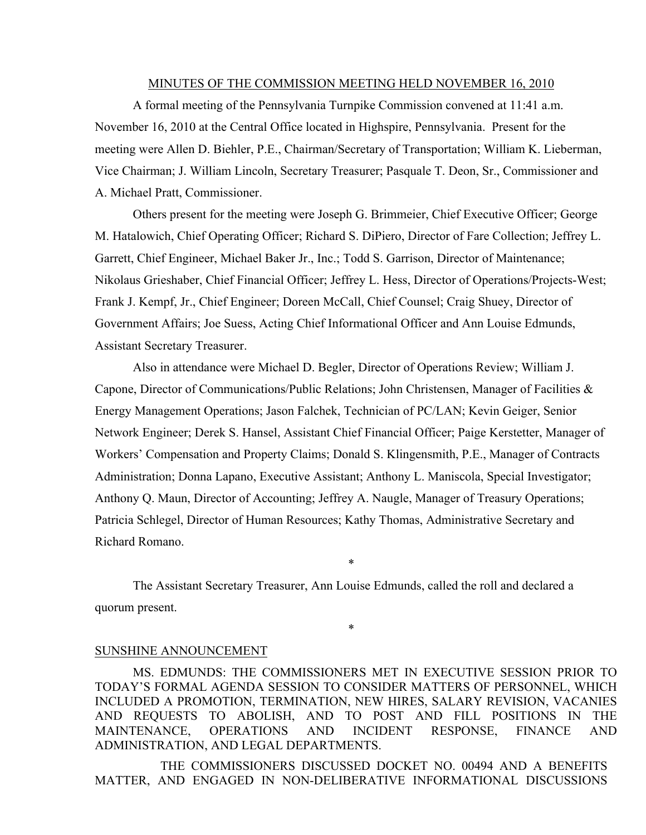#### MINUTES OF THE COMMISSION MEETING HELD NOVEMBER 16, 2010

A formal meeting of the Pennsylvania Turnpike Commission convened at 11:41 a.m. November 16, 2010 at the Central Office located in Highspire, Pennsylvania. Present for the meeting were Allen D. Biehler, P.E., Chairman/Secretary of Transportation; William K. Lieberman, Vice Chairman; J. William Lincoln, Secretary Treasurer; Pasquale T. Deon, Sr., Commissioner and A. Michael Pratt, Commissioner.

Others present for the meeting were Joseph G. Brimmeier, Chief Executive Officer; George M. Hatalowich, Chief Operating Officer; Richard S. DiPiero, Director of Fare Collection; Jeffrey L. Garrett, Chief Engineer, Michael Baker Jr., Inc.; Todd S. Garrison, Director of Maintenance; Nikolaus Grieshaber, Chief Financial Officer; Jeffrey L. Hess, Director of Operations/Projects-West; Frank J. Kempf, Jr., Chief Engineer; Doreen McCall, Chief Counsel; Craig Shuey, Director of Government Affairs; Joe Suess, Acting Chief Informational Officer and Ann Louise Edmunds, Assistant Secretary Treasurer.

Also in attendance were Michael D. Begler, Director of Operations Review; William J. Capone, Director of Communications/Public Relations; John Christensen, Manager of Facilities  $\&$ Energy Management Operations; Jason Falchek, Technician of PC/LAN; Kevin Geiger, Senior Network Engineer; Derek S. Hansel, Assistant Chief Financial Officer; Paige Kerstetter, Manager of Workers' Compensation and Property Claims; Donald S. Klingensmith, P.E., Manager of Contracts Administration; Donna Lapano, Executive Assistant; Anthony L. Maniscola, Special Investigator; Anthony Q. Maun, Director of Accounting; Jeffrey A. Naugle, Manager of Treasury Operations; Patricia Schlegel, Director of Human Resources; Kathy Thomas, Administrative Secretary and Richard Romano.

The Assistant Secretary Treasurer, Ann Louise Edmunds, called the roll and declared a quorum present.

# \*

\*

#### SUNSHINE ANNOUNCEMENT

MS. EDMUNDS: THE COMMISSIONERS MET IN EXECUTIVE SESSION PRIOR TO TODAY'S FORMAL AGENDA SESSION TO CONSIDER MATTERS OF PERSONNEL, WHICH INCLUDED A PROMOTION, TERMINATION, NEW HIRES, SALARY REVISION, VACANIES AND REQUESTS TO ABOLISH, AND TO POST AND FILL POSITIONS IN THE MAINTENANCE, OPERATIONS AND INCIDENT RESPONSE, FINANCE AND ADMINISTRATION, AND LEGAL DEPARTMENTS.

THE COMMISSIONERS DISCUSSED DOCKET NO. 00494 AND A BENEFITS MATTER, AND ENGAGED IN NON-DELIBERATIVE INFORMATIONAL DISCUSSIONS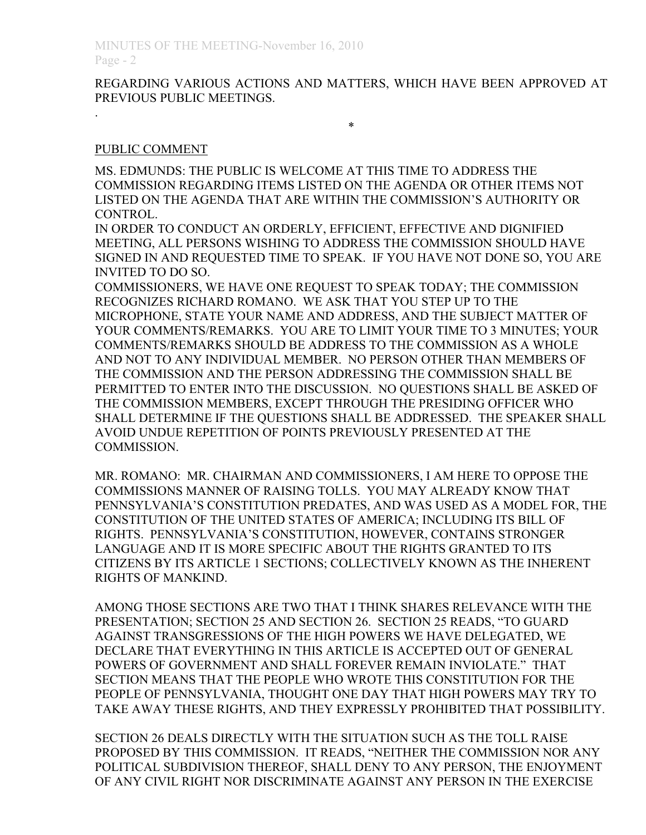# REGARDING VARIOUS ACTIONS AND MATTERS, WHICH HAVE BEEN APPROVED AT PREVIOUS PUBLIC MEETINGS.

#### \*

## PUBLIC COMMENT

.

MS. EDMUNDS: THE PUBLIC IS WELCOME AT THIS TIME TO ADDRESS THE COMMISSION REGARDING ITEMS LISTED ON THE AGENDA OR OTHER ITEMS NOT LISTED ON THE AGENDA THAT ARE WITHIN THE COMMISSION'S AUTHORITY OR CONTROL.

IN ORDER TO CONDUCT AN ORDERLY, EFFICIENT, EFFECTIVE AND DIGNIFIED MEETING, ALL PERSONS WISHING TO ADDRESS THE COMMISSION SHOULD HAVE SIGNED IN AND REQUESTED TIME TO SPEAK. IF YOU HAVE NOT DONE SO, YOU ARE INVITED TO DO SO.

COMMISSIONERS, WE HAVE ONE REQUEST TO SPEAK TODAY; THE COMMISSION RECOGNIZES RICHARD ROMANO. WE ASK THAT YOU STEP UP TO THE MICROPHONE, STATE YOUR NAME AND ADDRESS, AND THE SUBJECT MATTER OF YOUR COMMENTS/REMARKS. YOU ARE TO LIMIT YOUR TIME TO 3 MINUTES; YOUR COMMENTS/REMARKS SHOULD BE ADDRESS TO THE COMMISSION AS A WHOLE AND NOT TO ANY INDIVIDUAL MEMBER. NO PERSON OTHER THAN MEMBERS OF THE COMMISSION AND THE PERSON ADDRESSING THE COMMISSION SHALL BE PERMITTED TO ENTER INTO THE DISCUSSION. NO QUESTIONS SHALL BE ASKED OF THE COMMISSION MEMBERS, EXCEPT THROUGH THE PRESIDING OFFICER WHO SHALL DETERMINE IF THE QUESTIONS SHALL BE ADDRESSED. THE SPEAKER SHALL AVOID UNDUE REPETITION OF POINTS PREVIOUSLY PRESENTED AT THE COMMISSION.

MR. ROMANO: MR. CHAIRMAN AND COMMISSIONERS, I AM HERE TO OPPOSE THE COMMISSIONS MANNER OF RAISING TOLLS. YOU MAY ALREADY KNOW THAT PENNSYLVANIA'S CONSTITUTION PREDATES, AND WAS USED AS A MODEL FOR, THE CONSTITUTION OF THE UNITED STATES OF AMERICA; INCLUDING ITS BILL OF RIGHTS. PENNSYLVANIA'S CONSTITUTION, HOWEVER, CONTAINS STRONGER LANGUAGE AND IT IS MORE SPECIFIC ABOUT THE RIGHTS GRANTED TO ITS CITIZENS BY ITS ARTICLE 1 SECTIONS; COLLECTIVELY KNOWN AS THE INHERENT RIGHTS OF MANKIND.

AMONG THOSE SECTIONS ARE TWO THAT I THINK SHARES RELEVANCE WITH THE PRESENTATION; SECTION 25 AND SECTION 26. SECTION 25 READS, "TO GUARD AGAINST TRANSGRESSIONS OF THE HIGH POWERS WE HAVE DELEGATED, WE DECLARE THAT EVERYTHING IN THIS ARTICLE IS ACCEPTED OUT OF GENERAL POWERS OF GOVERNMENT AND SHALL FOREVER REMAIN INVIOLATE." THAT SECTION MEANS THAT THE PEOPLE WHO WROTE THIS CONSTITUTION FOR THE PEOPLE OF PENNSYLVANIA, THOUGHT ONE DAY THAT HIGH POWERS MAY TRY TO TAKE AWAY THESE RIGHTS, AND THEY EXPRESSLY PROHIBITED THAT POSSIBILITY.

SECTION 26 DEALS DIRECTLY WITH THE SITUATION SUCH AS THE TOLL RAISE PROPOSED BY THIS COMMISSION. IT READS, "NEITHER THE COMMISSION NOR ANY POLITICAL SUBDIVISION THEREOF, SHALL DENY TO ANY PERSON, THE ENJOYMENT OF ANY CIVIL RIGHT NOR DISCRIMINATE AGAINST ANY PERSON IN THE EXERCISE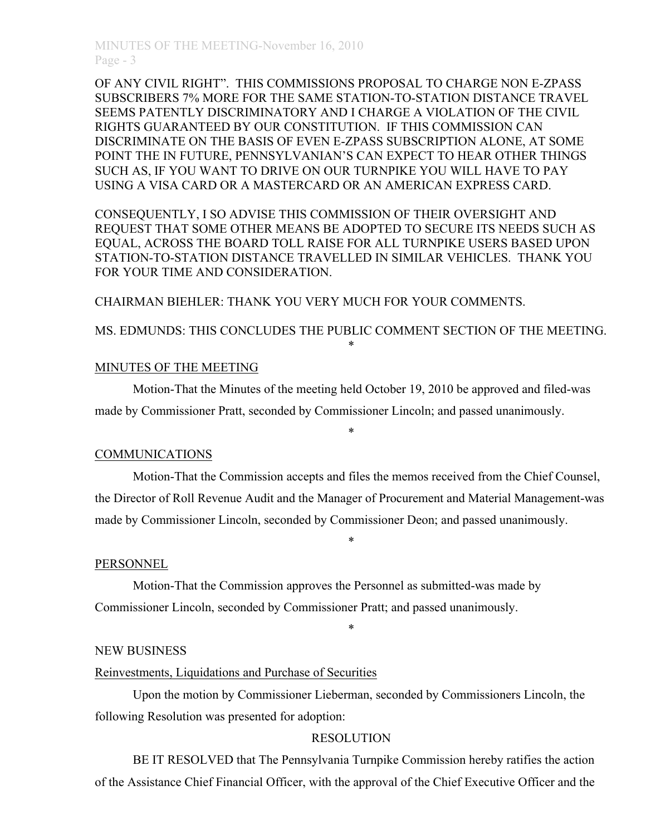OF ANY CIVIL RIGHT". THIS COMMISSIONS PROPOSAL TO CHARGE NON E-ZPASS SUBSCRIBERS 7% MORE FOR THE SAME STATION-TO-STATION DISTANCE TRAVEL SEEMS PATENTLY DISCRIMINATORY AND I CHARGE A VIOLATION OF THE CIVIL RIGHTS GUARANTEED BY OUR CONSTITUTION. IF THIS COMMISSION CAN DISCRIMINATE ON THE BASIS OF EVEN E-ZPASS SUBSCRIPTION ALONE, AT SOME POINT THE IN FUTURE, PENNSYLVANIAN'S CAN EXPECT TO HEAR OTHER THINGS SUCH AS, IF YOU WANT TO DRIVE ON OUR TURNPIKE YOU WILL HAVE TO PAY USING A VISA CARD OR A MASTERCARD OR AN AMERICAN EXPRESS CARD.

CONSEQUENTLY, I SO ADVISE THIS COMMISSION OF THEIR OVERSIGHT AND REQUEST THAT SOME OTHER MEANS BE ADOPTED TO SECURE ITS NEEDS SUCH AS EQUAL, ACROSS THE BOARD TOLL RAISE FOR ALL TURNPIKE USERS BASED UPON STATION-TO-STATION DISTANCE TRAVELLED IN SIMILAR VEHICLES. THANK YOU FOR YOUR TIME AND CONSIDERATION.

CHAIRMAN BIEHLER: THANK YOU VERY MUCH FOR YOUR COMMENTS.

# MS. EDMUNDS: THIS CONCLUDES THE PUBLIC COMMENT SECTION OF THE MEETING. \*

## MINUTES OF THE MEETING

Motion-That the Minutes of the meeting held October 19, 2010 be approved and filed-was made by Commissioner Pratt, seconded by Commissioner Lincoln; and passed unanimously.

### COMMUNICATIONS

Motion-That the Commission accepts and files the memos received from the Chief Counsel, the Director of Roll Revenue Audit and the Manager of Procurement and Material Management-was made by Commissioner Lincoln, seconded by Commissioner Deon; and passed unanimously.

\*

\*

\*

### PERSONNEL

Motion-That the Commission approves the Personnel as submitted-was made by Commissioner Lincoln, seconded by Commissioner Pratt; and passed unanimously.

### NEW BUSINESS

## Reinvestments, Liquidations and Purchase of Securities

Upon the motion by Commissioner Lieberman, seconded by Commissioners Lincoln, the following Resolution was presented for adoption:

### **RESOLUTION**

BE IT RESOLVED that The Pennsylvania Turnpike Commission hereby ratifies the action of the Assistance Chief Financial Officer, with the approval of the Chief Executive Officer and the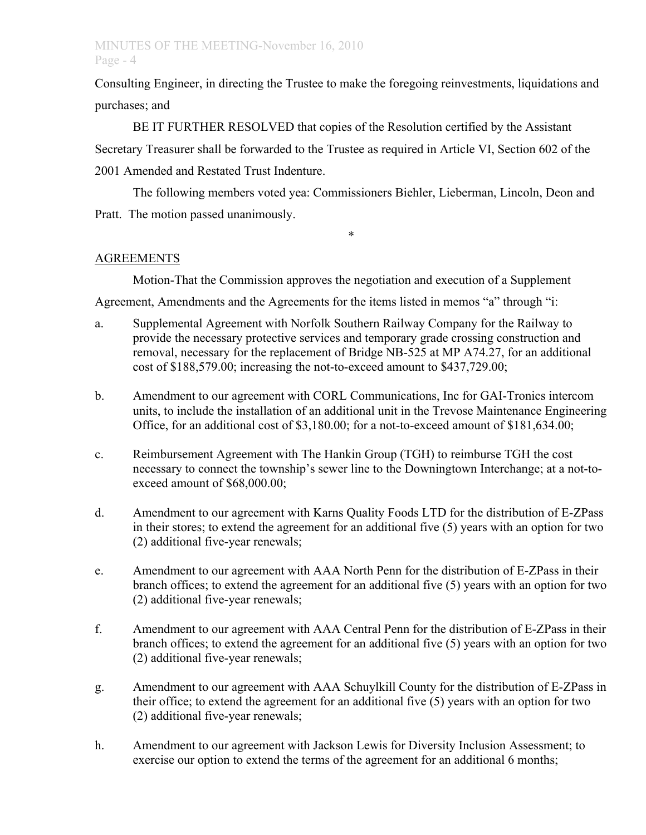# MINUTES OF THE MEETING-November 16, 2010 Page - 4

Consulting Engineer, in directing the Trustee to make the foregoing reinvestments, liquidations and purchases; and

BE IT FURTHER RESOLVED that copies of the Resolution certified by the Assistant Secretary Treasurer shall be forwarded to the Trustee as required in Article VI, Section 602 of the 2001 Amended and Restated Trust Indenture.

The following members voted yea: Commissioners Biehler, Lieberman, Lincoln, Deon and Pratt. The motion passed unanimously.

\*

# AGREEMENTS

Motion-That the Commission approves the negotiation and execution of a Supplement

Agreement, Amendments and the Agreements for the items listed in memos "a" through "i:

- a. Supplemental Agreement with Norfolk Southern Railway Company for the Railway to provide the necessary protective services and temporary grade crossing construction and removal, necessary for the replacement of Bridge NB-525 at MP A74.27, for an additional cost of \$188,579.00; increasing the not-to-exceed amount to \$437,729.00;
- b. Amendment to our agreement with CORL Communications, Inc for GAI-Tronics intercom units, to include the installation of an additional unit in the Trevose Maintenance Engineering Office, for an additional cost of \$3,180.00; for a not-to-exceed amount of \$181,634.00;
- c. Reimbursement Agreement with The Hankin Group (TGH) to reimburse TGH the cost necessary to connect the township's sewer line to the Downingtown Interchange; at a not-toexceed amount of \$68,000.00;
- d. Amendment to our agreement with Karns Quality Foods LTD for the distribution of E-ZPass in their stores; to extend the agreement for an additional five (5) years with an option for two (2) additional five-year renewals;
- e. Amendment to our agreement with AAA North Penn for the distribution of E-ZPass in their branch offices; to extend the agreement for an additional five (5) years with an option for two (2) additional five-year renewals;
- f. Amendment to our agreement with AAA Central Penn for the distribution of E-ZPass in their branch offices; to extend the agreement for an additional five (5) years with an option for two (2) additional five-year renewals;
- g. Amendment to our agreement with AAA Schuylkill County for the distribution of E-ZPass in their office; to extend the agreement for an additional five (5) years with an option for two (2) additional five-year renewals;
- h. Amendment to our agreement with Jackson Lewis for Diversity Inclusion Assessment; to exercise our option to extend the terms of the agreement for an additional 6 months;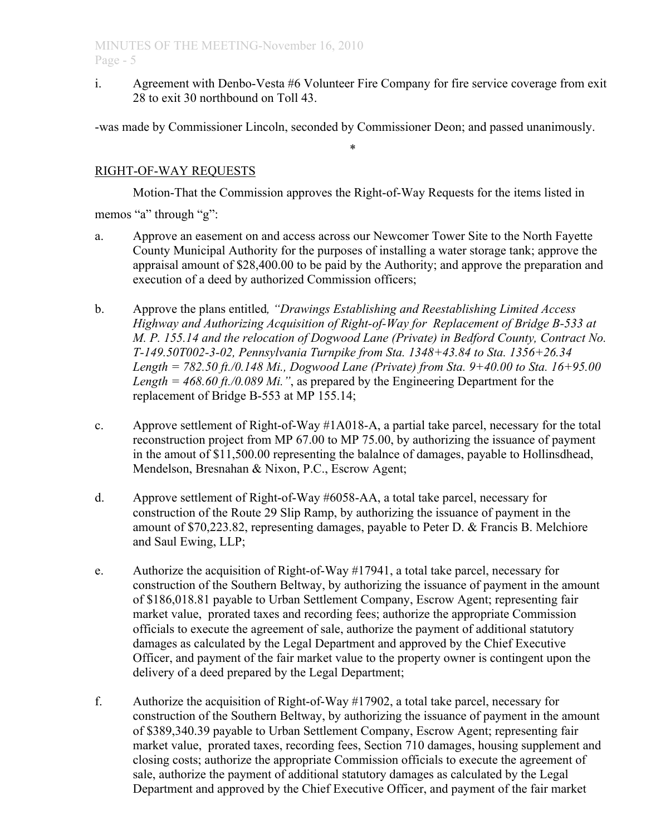i. Agreement with Denbo-Vesta #6 Volunteer Fire Company for fire service coverage from exit 28 to exit 30 northbound on Toll 43.

-was made by Commissioner Lincoln, seconded by Commissioner Deon; and passed unanimously.

\*

# RIGHT-OF-WAY REQUESTS

Motion-That the Commission approves the Right-of-Way Requests for the items listed in

memos "a" through "g":

- a. Approve an easement on and access across our Newcomer Tower Site to the North Fayette County Municipal Authority for the purposes of installing a water storage tank; approve the appraisal amount of \$28,400.00 to be paid by the Authority; and approve the preparation and execution of a deed by authorized Commission officers;
- b. Approve the plans entitled*, "Drawings Establishing and Reestablishing Limited Access Highway and Authorizing Acquisition of Right-of-Way for Replacement of Bridge B-533 at M. P. 155.14 and the relocation of Dogwood Lane (Private) in Bedford County, Contract No. T-149.50T002-3-02, Pennsylvania Turnpike from Sta. 1348+43.84 to Sta. 1356+26.34 Length = 782.50 ft./0.148 Mi., Dogwood Lane (Private) from Sta. 9+40.00 to Sta. 16+95.00 Length = 468.60 ft./0.089 Mi."*, as prepared by the Engineering Department for the replacement of Bridge B-553 at MP 155.14;
- c. Approve settlement of Right-of-Way #1A018-A, a partial take parcel, necessary for the total reconstruction project from MP 67.00 to MP 75.00, by authorizing the issuance of payment in the amout of \$11,500.00 representing the balalnce of damages, payable to Hollinsdhead, Mendelson, Bresnahan & Nixon, P.C., Escrow Agent;
- d. Approve settlement of Right-of-Way #6058-AA, a total take parcel, necessary for construction of the Route 29 Slip Ramp, by authorizing the issuance of payment in the amount of \$70,223.82, representing damages, payable to Peter D. & Francis B. Melchiore and Saul Ewing, LLP;
- e. Authorize the acquisition of Right-of-Way #17941, a total take parcel, necessary for construction of the Southern Beltway, by authorizing the issuance of payment in the amount of \$186,018.81 payable to Urban Settlement Company, Escrow Agent; representing fair market value, prorated taxes and recording fees; authorize the appropriate Commission officials to execute the agreement of sale, authorize the payment of additional statutory damages as calculated by the Legal Department and approved by the Chief Executive Officer, and payment of the fair market value to the property owner is contingent upon the delivery of a deed prepared by the Legal Department;
- f. Authorize the acquisition of Right-of-Way #17902, a total take parcel, necessary for construction of the Southern Beltway, by authorizing the issuance of payment in the amount of \$389,340.39 payable to Urban Settlement Company, Escrow Agent; representing fair market value, prorated taxes, recording fees, Section 710 damages, housing supplement and closing costs; authorize the appropriate Commission officials to execute the agreement of sale, authorize the payment of additional statutory damages as calculated by the Legal Department and approved by the Chief Executive Officer, and payment of the fair market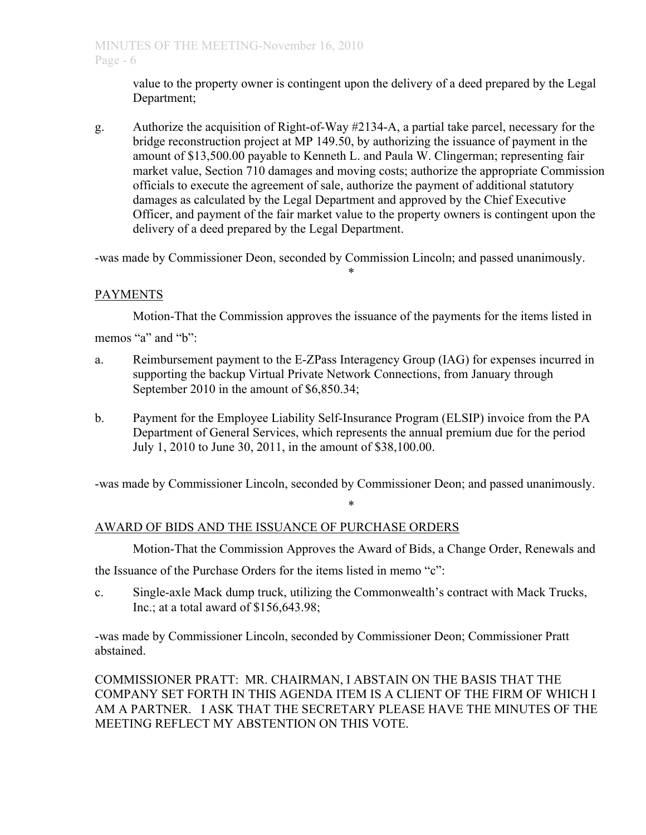value to the property owner is contingent upon the delivery of a deed prepared by the Legal Department;

g. Authorize the acquisition of Right-of-Way #2134-A, a partial take parcel, necessary for the bridge reconstruction project at MP 149.50, by authorizing the issuance of payment in the amount of \$13,500.00 payable to Kenneth L. and Paula W. Clingerman; representing fair market value, Section 710 damages and moving costs; authorize the appropriate Commission officials to execute the agreement of sale, authorize the payment of additional statutory damages as calculated by the Legal Department and approved by the Chief Executive Officer, and payment of the fair market value to the property owners is contingent upon the delivery of a deed prepared by the Legal Department.

-was made by Commissioner Deon, seconded by Commission Lincoln; and passed unanimously.

\*

# PAYMENTS

Motion-That the Commission approves the issuance of the payments for the items listed in memos "a" and "b":

- a. Reimbursement payment to the E-ZPass Interagency Group (IAG) for expenses incurred in supporting the backup Virtual Private Network Connections, from January through September 2010 in the amount of \$6,850.34;
- b. Payment for the Employee Liability Self-Insurance Program (ELSIP) invoice from the PA Department of General Services, which represents the annual premium due for the period July 1, 2010 to June 30, 2011, in the amount of \$38,100.00.

-was made by Commissioner Lincoln, seconded by Commissioner Deon; and passed unanimously.

\*

# AWARD OF BIDS AND THE ISSUANCE OF PURCHASE ORDERS

Motion-That the Commission Approves the Award of Bids, a Change Order, Renewals and

the Issuance of the Purchase Orders for the items listed in memo "c":

c. Single-axle Mack dump truck, utilizing the Commonwealth's contract with Mack Trucks, Inc.; at a total award of \$156,643.98;

-was made by Commissioner Lincoln, seconded by Commissioner Deon; Commissioner Pratt abstained.

COMMISSIONER PRATT: MR. CHAIRMAN, I ABSTAIN ON THE BASIS THAT THE COMPANY SET FORTH IN THIS AGENDA ITEM IS A CLIENT OF THE FIRM OF WHICH I AM A PARTNER. I ASK THAT THE SECRETARY PLEASE HAVE THE MINUTES OF THE MEETING REFLECT MY ABSTENTION ON THIS VOTE.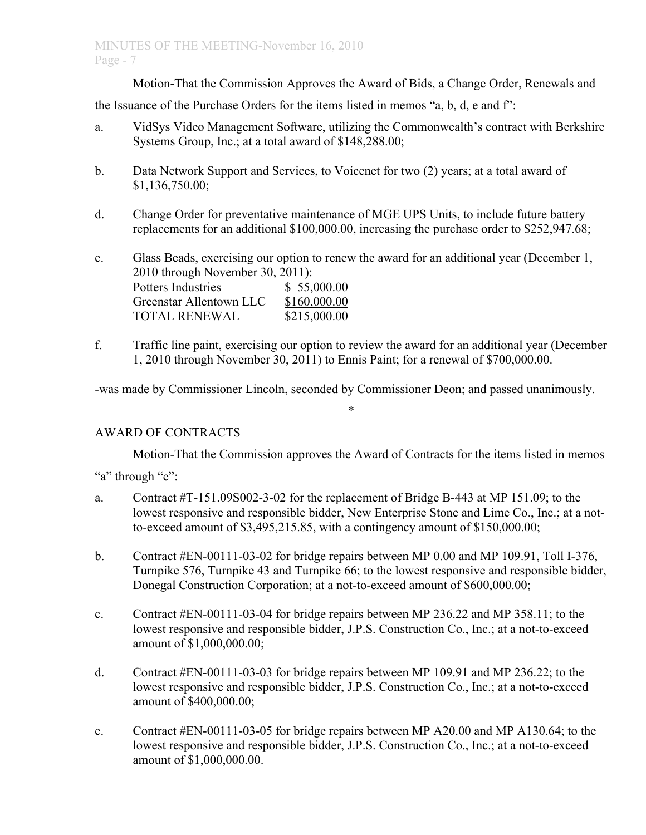Motion-That the Commission Approves the Award of Bids, a Change Order, Renewals and

the Issuance of the Purchase Orders for the items listed in memos "a, b, d, e and f":

- a. VidSys Video Management Software, utilizing the Commonwealth's contract with Berkshire Systems Group, Inc.; at a total award of \$148,288.00;
- b. Data Network Support and Services, to Voicenet for two (2) years; at a total award of \$1,136,750.00;
- d. Change Order for preventative maintenance of MGE UPS Units, to include future battery replacements for an additional \$100,000.00, increasing the purchase order to \$252,947.68;

e. Glass Beads, exercising our option to renew the award for an additional year (December 1, 2010 through November 30, 2011): Potters Industries \$ 55,000.00 Greenstar Allentown LLC \$160,000.00 TOTAL RENEWAL \$215,000.00

f. Traffic line paint, exercising our option to review the award for an additional year (December 1, 2010 through November 30, 2011) to Ennis Paint; for a renewal of \$700,000.00.

-was made by Commissioner Lincoln, seconded by Commissioner Deon; and passed unanimously.

\*

# AWARD OF CONTRACTS

Motion-That the Commission approves the Award of Contracts for the items listed in memos

"a" through "e":

- a. Contract #T-151.09S002-3-02 for the replacement of Bridge B-443 at MP 151.09; to the lowest responsive and responsible bidder, New Enterprise Stone and Lime Co., Inc.; at a notto-exceed amount of \$3,495,215.85, with a contingency amount of \$150,000.00;
- b. Contract #EN-00111-03-02 for bridge repairs between MP 0.00 and MP 109.91, Toll I-376, Turnpike 576, Turnpike 43 and Turnpike 66; to the lowest responsive and responsible bidder, Donegal Construction Corporation; at a not-to-exceed amount of \$600,000.00;
- c. Contract #EN-00111-03-04 for bridge repairs between MP 236.22 and MP 358.11; to the lowest responsive and responsible bidder, J.P.S. Construction Co., Inc.; at a not-to-exceed amount of \$1,000,000.00;
- d. Contract #EN-00111-03-03 for bridge repairs between MP 109.91 and MP 236.22; to the lowest responsive and responsible bidder, J.P.S. Construction Co., Inc.; at a not-to-exceed amount of \$400,000.00;
- e. Contract #EN-00111-03-05 for bridge repairs between MP A20.00 and MP A130.64; to the lowest responsive and responsible bidder, J.P.S. Construction Co., Inc.; at a not-to-exceed amount of \$1,000,000.00.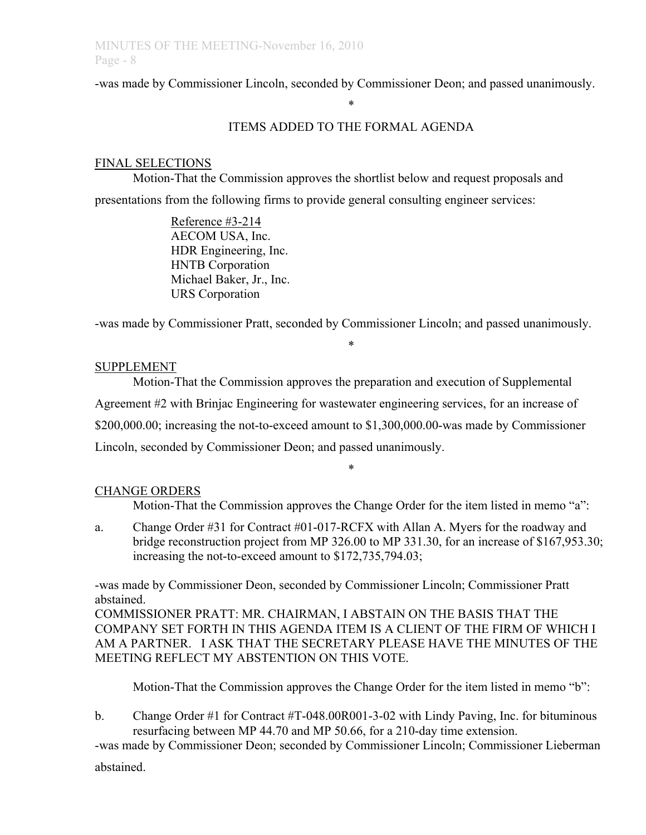-was made by Commissioner Lincoln, seconded by Commissioner Deon; and passed unanimously.

# ITEMS ADDED TO THE FORMAL AGENDA

\*

# FINAL SELECTIONS

Motion-That the Commission approves the shortlist below and request proposals and presentations from the following firms to provide general consulting engineer services:

> Reference #3-214 AECOM USA, Inc. HDR Engineering, Inc. HNTB Corporation Michael Baker, Jr., Inc. URS Corporation

-was made by Commissioner Pratt, seconded by Commissioner Lincoln; and passed unanimously.

\*

# SUPPLEMENT

Motion-That the Commission approves the preparation and execution of Supplemental Agreement #2 with Brinjac Engineering for wastewater engineering services, for an increase of \$200,000.00; increasing the not-to-exceed amount to \$1,300,000.00-was made by Commissioner Lincoln, seconded by Commissioner Deon; and passed unanimously.

# CHANGE ORDERS

Motion-That the Commission approves the Change Order for the item listed in memo "a":

a. Change Order #31 for Contract #01-017-RCFX with Allan A. Myers for the roadway and bridge reconstruction project from MP 326.00 to MP 331.30, for an increase of \$167,953.30; increasing the not-to-exceed amount to \$172,735,794.03;

\*

-was made by Commissioner Deon, seconded by Commissioner Lincoln; Commissioner Pratt abstained.

COMMISSIONER PRATT: MR. CHAIRMAN, I ABSTAIN ON THE BASIS THAT THE COMPANY SET FORTH IN THIS AGENDA ITEM IS A CLIENT OF THE FIRM OF WHICH I AM A PARTNER. I ASK THAT THE SECRETARY PLEASE HAVE THE MINUTES OF THE MEETING REFLECT MY ABSTENTION ON THIS VOTE.

Motion-That the Commission approves the Change Order for the item listed in memo "b":

b. Change Order #1 for Contract #T-048.00R001-3-02 with Lindy Paving, Inc. for bituminous resurfacing between MP 44.70 and MP 50.66, for a 210-day time extension.

-was made by Commissioner Deon; seconded by Commissioner Lincoln; Commissioner Lieberman

abstained.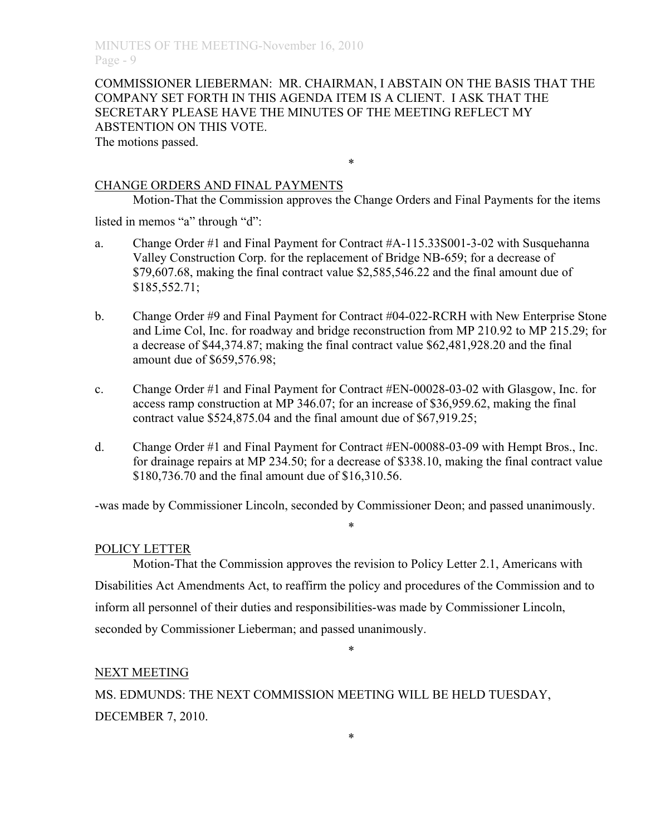COMMISSIONER LIEBERMAN: MR. CHAIRMAN, I ABSTAIN ON THE BASIS THAT THE COMPANY SET FORTH IN THIS AGENDA ITEM IS A CLIENT. I ASK THAT THE SECRETARY PLEASE HAVE THE MINUTES OF THE MEETING REFLECT MY ABSTENTION ON THIS VOTE.

\*

The motions passed.

# CHANGE ORDERS AND FINAL PAYMENTS

Motion-That the Commission approves the Change Orders and Final Payments for the items

listed in memos "a" through "d":

- a. Change Order #1 and Final Payment for Contract #A-115.33S001-3-02 with Susquehanna Valley Construction Corp. for the replacement of Bridge NB-659; for a decrease of \$79,607.68, making the final contract value \$2,585,546.22 and the final amount due of \$185,552.71;
- b. Change Order #9 and Final Payment for Contract #04-022-RCRH with New Enterprise Stone and Lime Col, Inc. for roadway and bridge reconstruction from MP 210.92 to MP 215.29; for a decrease of \$44,374.87; making the final contract value \$62,481,928.20 and the final amount due of \$659,576.98;
- c. Change Order #1 and Final Payment for Contract #EN-00028-03-02 with Glasgow, Inc. for access ramp construction at MP 346.07; for an increase of \$36,959.62, making the final contract value \$524,875.04 and the final amount due of \$67,919.25;
- d. Change Order #1 and Final Payment for Contract #EN-00088-03-09 with Hempt Bros., Inc. for drainage repairs at MP 234.50; for a decrease of \$338.10, making the final contract value \$180,736.70 and the final amount due of \$16,310.56.

-was made by Commissioner Lincoln, seconded by Commissioner Deon; and passed unanimously.

\*

## POLICY LETTER

Motion-That the Commission approves the revision to Policy Letter 2.1, Americans with Disabilities Act Amendments Act, to reaffirm the policy and procedures of the Commission and to inform all personnel of their duties and responsibilities-was made by Commissioner Lincoln, seconded by Commissioner Lieberman; and passed unanimously.

\*

\*

## NEXT MEETING

MS. EDMUNDS: THE NEXT COMMISSION MEETING WILL BE HELD TUESDAY, DECEMBER 7, 2010.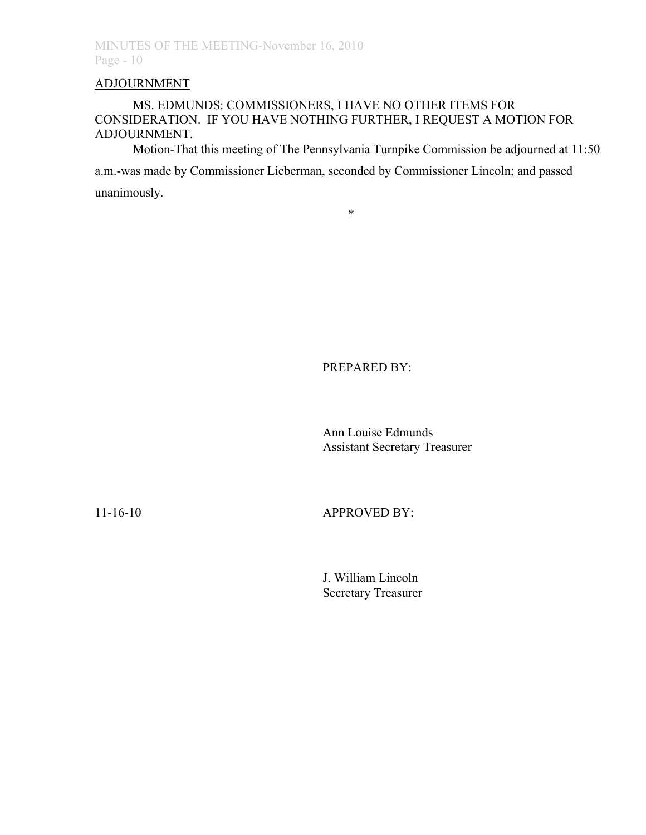# ADJOURNMENT

# MS. EDMUNDS: COMMISSIONERS, I HAVE NO OTHER ITEMS FOR CONSIDERATION. IF YOU HAVE NOTHING FURTHER, I REQUEST A MOTION FOR ADJOURNMENT.

Motion-That this meeting of The Pennsylvania Turnpike Commission be adjourned at 11:50 a.m.-was made by Commissioner Lieberman, seconded by Commissioner Lincoln; and passed unanimously.

\*

PREPARED BY:

Ann Louise Edmunds Assistant Secretary Treasurer

11-16-10 APPROVED BY:

J. William Lincoln Secretary Treasurer